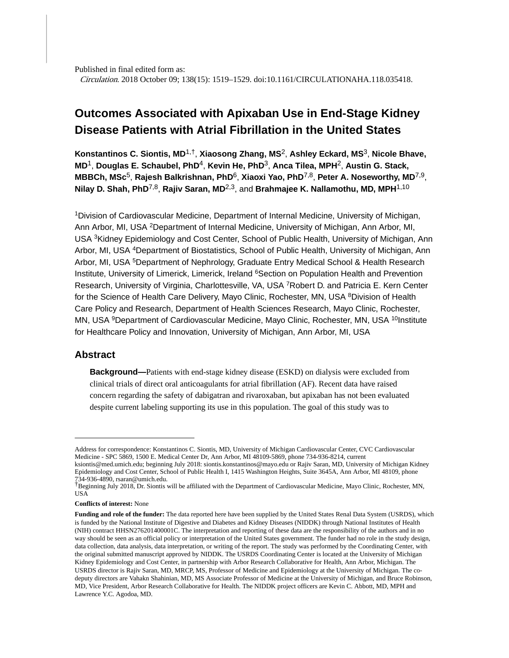Published in final edited form as: Circulation. 2018 October 09; 138(15): 1519–1529. doi:10.1161/CIRCULATIONAHA.118.035418.

# **Outcomes Associated with Apixaban Use in End-Stage Kidney Disease Patients with Atrial Fibrillation in the United States**

**Konstantinos C. Siontis, MD**1,†, **Xiaosong Zhang, MS**2, **Ashley Eckard, MS**3, **Nicole Bhave, MD**1, **Douglas E. Schaubel, PhD**4, **Kevin He, PhD**3, **Anca Tilea, MPH**2, **Austin G. Stack, MBBCh, MSc**5, **Rajesh Balkrishnan, PhD**6, **Xiaoxi Yao, PhD**7,8, **Peter A. Noseworthy, MD**7,9, **Nilay D. Shah, PhD**7,8, **Rajiv Saran, MD**2,3, and **Brahmajee K. Nallamothu, MD, MPH**1,10

<sup>1</sup>Division of Cardiovascular Medicine, Department of Internal Medicine, University of Michigan, Ann Arbor, MI, USA <sup>2</sup>Department of Internal Medicine, University of Michigan, Ann Arbor, MI, USA <sup>3</sup>Kidney Epidemiology and Cost Center, School of Public Health, University of Michigan, Ann Arbor, MI, USA <sup>4</sup>Department of Biostatistics, School of Public Health, University of Michigan, Ann Arbor, MI, USA <sup>5</sup>Department of Nephrology, Graduate Entry Medical School & Health Research Institute, University of Limerick, Limerick, Ireland <sup>6</sup>Section on Population Health and Prevention Research, University of Virginia, Charlottesville, VA, USA <sup>7</sup>Robert D. and Patricia E. Kern Center for the Science of Health Care Delivery, Mayo Clinic, Rochester, MN, USA <sup>8</sup>Division of Health Care Policy and Research, Department of Health Sciences Research, Mayo Clinic, Rochester, MN, USA <sup>9</sup>Department of Cardiovascular Medicine, Mayo Clinic, Rochester, MN, USA <sup>10</sup>Institute for Healthcare Policy and Innovation, University of Michigan, Ann Arbor, MI, USA

## **Abstract**

**Background—**Patients with end-stage kidney disease (ESKD) on dialysis were excluded from clinical trials of direct oral anticoagulants for atrial fibrillation (AF). Recent data have raised concern regarding the safety of dabigatran and rivaroxaban, but apixaban has not been evaluated despite current labeling supporting its use in this population. The goal of this study was to

Address for correspondence: Konstantinos C. Siontis, MD, University of Michigan Cardiovascular Center, CVC Cardiovascular Medicine - SPC 5869, 1500 E. Medical Center Dr, Ann Arbor, MI 48109-5869, phone 734-936-8214, current

ksiontis@med.umich.edu; beginning July 2018: siontis.konstantinos@mayo.edu or Rajiv Saran, MD, University of Michigan Kidney Epidemiology and Cost Center, School of Public Health I, 1415 Washington Heights, Suite 3645A, Ann Arbor, MI 48109, phone 734-936-4890, rsaran@umich.edu. †Beginning July 2018, Dr. Siontis will be affiliated with the Department of Cardiovascular Medicine, Mayo Clinic, Rochester, MN,

USA

**Conflicts of interest:** None

**Funding and role of the funder:** The data reported here have been supplied by the United States Renal Data System (USRDS), which is funded by the National Institute of Digestive and Diabetes and Kidney Diseases (NIDDK) through National Institutes of Health (NIH) contract HHSN276201400001C. The interpretation and reporting of these data are the responsibility of the authors and in no way should be seen as an official policy or interpretation of the United States government. The funder had no role in the study design, data collection, data analysis, data interpretation, or writing of the report. The study was performed by the Coordinating Center, with the original submitted manuscript approved by NIDDK. The USRDS Coordinating Center is located at the University of Michigan Kidney Epidemiology and Cost Center, in partnership with Arbor Research Collaborative for Health, Ann Arbor, Michigan. The USRDS director is Rajiv Saran, MD, MRCP, MS, Professor of Medicine and Epidemiology at the University of Michigan. The codeputy directors are Vahakn Shahinian, MD, MS Associate Professor of Medicine at the University of Michigan, and Bruce Robinson, MD, Vice President, Arbor Research Collaborative for Health. The NIDDK project officers are Kevin C. Abbott, MD, MPH and Lawrence Y.C. Agodoa, MD.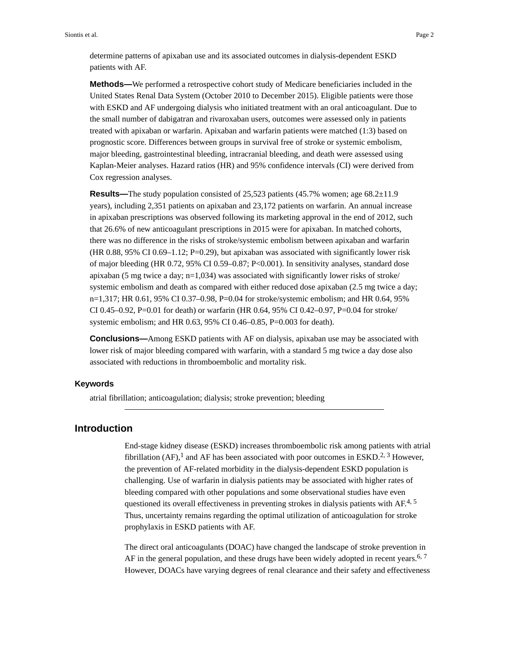determine patterns of apixaban use and its associated outcomes in dialysis-dependent ESKD patients with AF.

**Methods—**We performed a retrospective cohort study of Medicare beneficiaries included in the United States Renal Data System (October 2010 to December 2015). Eligible patients were those with ESKD and AF undergoing dialysis who initiated treatment with an oral anticoagulant. Due to the small number of dabigatran and rivaroxaban users, outcomes were assessed only in patients treated with apixaban or warfarin. Apixaban and warfarin patients were matched (1:3) based on prognostic score. Differences between groups in survival free of stroke or systemic embolism, major bleeding, gastrointestinal bleeding, intracranial bleeding, and death were assessed using Kaplan-Meier analyses. Hazard ratios (HR) and 95% confidence intervals (CI) were derived from Cox regression analyses.

**Results—**The study population consisted of 25,523 patients (45.7% women; age 68.2±11.9 years), including 2,351 patients on apixaban and 23,172 patients on warfarin. An annual increase in apixaban prescriptions was observed following its marketing approval in the end of 2012, such that 26.6% of new anticoagulant prescriptions in 2015 were for apixaban. In matched cohorts, there was no difference in the risks of stroke/systemic embolism between apixaban and warfarin  $(HR\ 0.88, 95\% \ CI\ 0.69-1.12; P=0.29)$ , but apixaban was associated with significantly lower risk of major bleeding (HR 0.72, 95% CI 0.59–0.87; P<0.001). In sensitivity analyses, standard dose apixaban (5 mg twice a day;  $n=1,034$ ) was associated with significantly lower risks of stroke/ systemic embolism and death as compared with either reduced dose apixaban (2.5 mg twice a day; n=1,317; HR 0.61, 95% CI 0.37–0.98, P=0.04 for stroke/systemic embolism; and HR 0.64, 95% CI 0.45–0.92, P=0.01 for death) or warfarin (HR 0.64, 95% CI 0.42–0.97, P=0.04 for stroke/ systemic embolism; and HR 0.63, 95% CI 0.46–0.85, P=0.003 for death).

**Conclusions—**Among ESKD patients with AF on dialysis, apixaban use may be associated with lower risk of major bleeding compared with warfarin, with a standard 5 mg twice a day dose also associated with reductions in thromboembolic and mortality risk.

#### **Keywords**

atrial fibrillation; anticoagulation; dialysis; stroke prevention; bleeding

## **Introduction**

End-stage kidney disease (ESKD) increases thromboembolic risk among patients with atrial fibrillation (AF),<sup>1</sup> and AF has been associated with poor outcomes in ESKD.<sup>2, 3</sup> However, the prevention of AF-related morbidity in the dialysis-dependent ESKD population is challenging. Use of warfarin in dialysis patients may be associated with higher rates of bleeding compared with other populations and some observational studies have even questioned its overall effectiveness in preventing strokes in dialysis patients with  $AF^{4, 5}$ Thus, uncertainty remains regarding the optimal utilization of anticoagulation for stroke prophylaxis in ESKD patients with AF.

The direct oral anticoagulants (DOAC) have changed the landscape of stroke prevention in AF in the general population, and these drugs have been widely adopted in recent years.<sup>6, 7</sup> However, DOACs have varying degrees of renal clearance and their safety and effectiveness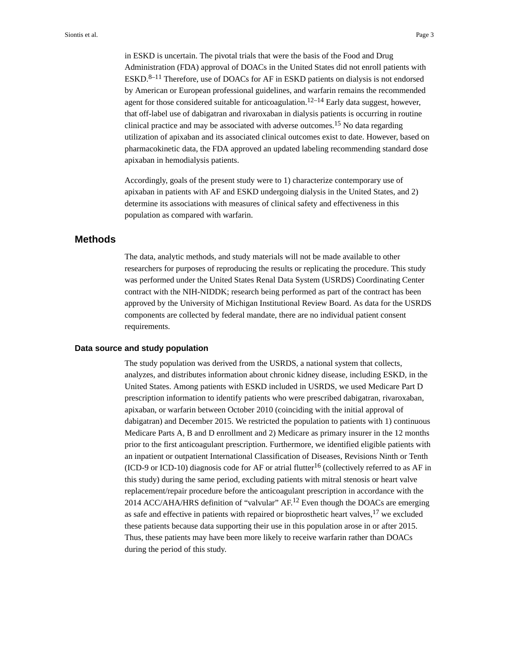in ESKD is uncertain. The pivotal trials that were the basis of the Food and Drug Administration (FDA) approval of DOACs in the United States did not enroll patients with  $ESKD$ <sup>8–11</sup> Therefore, use of DOACs for AF in ESKD patients on dialysis is not endorsed by American or European professional guidelines, and warfarin remains the recommended agent for those considered suitable for anticoagulation.<sup>12–14</sup> Early data suggest, however, that off-label use of dabigatran and rivaroxaban in dialysis patients is occurring in routine clinical practice and may be associated with adverse outcomes.<sup>15</sup> No data regarding utilization of apixaban and its associated clinical outcomes exist to date. However, based on pharmacokinetic data, the FDA approved an updated labeling recommending standard dose apixaban in hemodialysis patients.

Accordingly, goals of the present study were to 1) characterize contemporary use of apixaban in patients with AF and ESKD undergoing dialysis in the United States, and 2) determine its associations with measures of clinical safety and effectiveness in this population as compared with warfarin.

## **Methods**

The data, analytic methods, and study materials will not be made available to other researchers for purposes of reproducing the results or replicating the procedure. This study was performed under the United States Renal Data System (USRDS) Coordinating Center contract with the NIH-NIDDK; research being performed as part of the contract has been approved by the University of Michigan Institutional Review Board. As data for the USRDS components are collected by federal mandate, there are no individual patient consent requirements.

#### **Data source and study population**

The study population was derived from the USRDS, a national system that collects, analyzes, and distributes information about chronic kidney disease, including ESKD, in the United States. Among patients with ESKD included in USRDS, we used Medicare Part D prescription information to identify patients who were prescribed dabigatran, rivaroxaban, apixaban, or warfarin between October 2010 (coinciding with the initial approval of dabigatran) and December 2015. We restricted the population to patients with 1) continuous Medicare Parts A, B and D enrollment and 2) Medicare as primary insurer in the 12 months prior to the first anticoagulant prescription. Furthermore, we identified eligible patients with an inpatient or outpatient International Classification of Diseases, Revisions Ninth or Tenth (ICD-9 or ICD-10) diagnosis code for AF or atrial flutter<sup>16</sup> (collectively referred to as AF in this study) during the same period, excluding patients with mitral stenosis or heart valve replacement/repair procedure before the anticoagulant prescription in accordance with the 2014 ACC/AHA/HRS definition of "valvular" AF.12 Even though the DOACs are emerging as safe and effective in patients with repaired or bioprosthetic heart valves, $17$  we excluded these patients because data supporting their use in this population arose in or after 2015. Thus, these patients may have been more likely to receive warfarin rather than DOACs during the period of this study.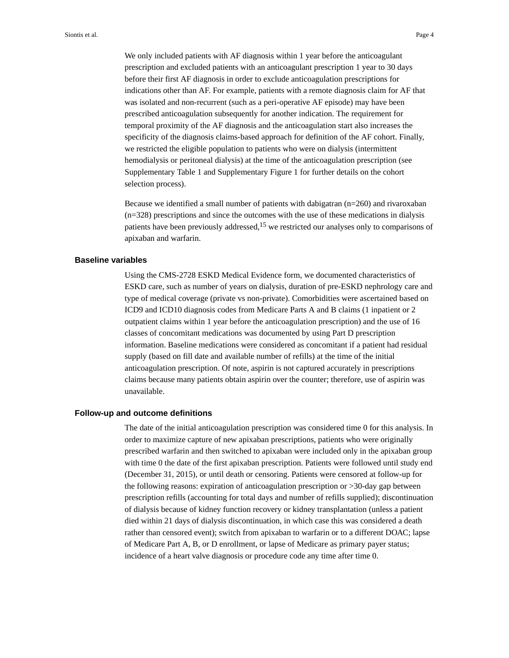We only included patients with AF diagnosis within 1 year before the anticoagulant prescription and excluded patients with an anticoagulant prescription 1 year to 30 days before their first AF diagnosis in order to exclude anticoagulation prescriptions for indications other than AF. For example, patients with a remote diagnosis claim for AF that was isolated and non-recurrent (such as a peri-operative AF episode) may have been prescribed anticoagulation subsequently for another indication. The requirement for temporal proximity of the AF diagnosis and the anticoagulation start also increases the specificity of the diagnosis claims-based approach for definition of the AF cohort. Finally, we restricted the eligible population to patients who were on dialysis (intermittent hemodialysis or peritoneal dialysis) at the time of the anticoagulation prescription (see Supplementary Table 1 and Supplementary Figure 1 for further details on the cohort selection process).

Because we identified a small number of patients with dabigatran (n=260) and rivaroxaban (n=328) prescriptions and since the outcomes with the use of these medications in dialysis patients have been previously addressed,  $15$  we restricted our analyses only to comparisons of apixaban and warfarin.

## **Baseline variables**

Using the CMS-2728 ESKD Medical Evidence form, we documented characteristics of ESKD care, such as number of years on dialysis, duration of pre-ESKD nephrology care and type of medical coverage (private vs non-private). Comorbidities were ascertained based on ICD9 and ICD10 diagnosis codes from Medicare Parts A and B claims (1 inpatient or 2 outpatient claims within 1 year before the anticoagulation prescription) and the use of 16 classes of concomitant medications was documented by using Part D prescription information. Baseline medications were considered as concomitant if a patient had residual supply (based on fill date and available number of refills) at the time of the initial anticoagulation prescription. Of note, aspirin is not captured accurately in prescriptions claims because many patients obtain aspirin over the counter; therefore, use of aspirin was unavailable.

#### **Follow-up and outcome definitions**

The date of the initial anticoagulation prescription was considered time 0 for this analysis. In order to maximize capture of new apixaban prescriptions, patients who were originally prescribed warfarin and then switched to apixaban were included only in the apixaban group with time 0 the date of the first apixaban prescription. Patients were followed until study end (December 31, 2015), or until death or censoring. Patients were censored at follow-up for the following reasons: expiration of anticoagulation prescription or >30-day gap between prescription refills (accounting for total days and number of refills supplied); discontinuation of dialysis because of kidney function recovery or kidney transplantation (unless a patient died within 21 days of dialysis discontinuation, in which case this was considered a death rather than censored event); switch from apixaban to warfarin or to a different DOAC; lapse of Medicare Part A, B, or D enrollment, or lapse of Medicare as primary payer status; incidence of a heart valve diagnosis or procedure code any time after time 0.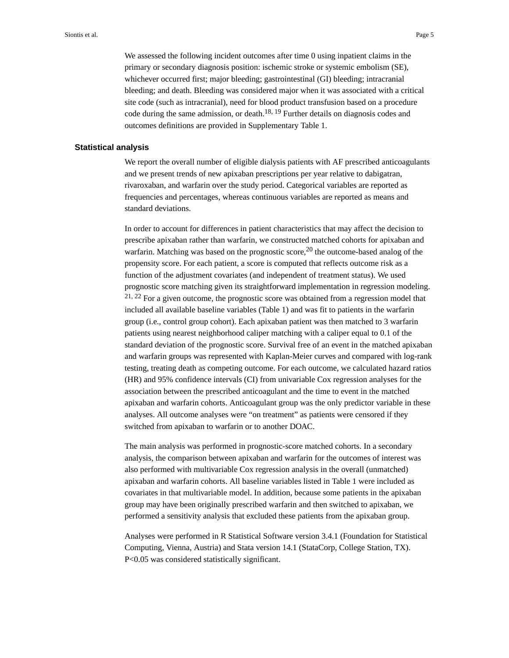We assessed the following incident outcomes after time 0 using inpatient claims in the primary or secondary diagnosis position: ischemic stroke or systemic embolism (SE), whichever occurred first; major bleeding; gastrointestinal (GI) bleeding; intracranial bleeding; and death. Bleeding was considered major when it was associated with a critical site code (such as intracranial), need for blood product transfusion based on a procedure code during the same admission, or death.<sup>18, 19</sup> Further details on diagnosis codes and outcomes definitions are provided in Supplementary Table 1.

#### **Statistical analysis**

We report the overall number of eligible dialysis patients with AF prescribed anticoagulants and we present trends of new apixaban prescriptions per year relative to dabigatran, rivaroxaban, and warfarin over the study period. Categorical variables are reported as frequencies and percentages, whereas continuous variables are reported as means and standard deviations.

In order to account for differences in patient characteristics that may affect the decision to prescribe apixaban rather than warfarin, we constructed matched cohorts for apixaban and warfarin. Matching was based on the prognostic score,  $20$  the outcome-based analog of the propensity score. For each patient, a score is computed that reflects outcome risk as a function of the adjustment covariates (and independent of treatment status). We used prognostic score matching given its straightforward implementation in regression modeling. 21, 22 For a given outcome, the prognostic score was obtained from a regression model that included all available baseline variables (Table 1) and was fit to patients in the warfarin group (i.e., control group cohort). Each apixaban patient was then matched to 3 warfarin patients using nearest neighborhood caliper matching with a caliper equal to 0.1 of the standard deviation of the prognostic score. Survival free of an event in the matched apixaban and warfarin groups was represented with Kaplan-Meier curves and compared with log-rank testing, treating death as competing outcome. For each outcome, we calculated hazard ratios (HR) and 95% confidence intervals (CI) from univariable Cox regression analyses for the association between the prescribed anticoagulant and the time to event in the matched apixaban and warfarin cohorts. Anticoagulant group was the only predictor variable in these analyses. All outcome analyses were "on treatment" as patients were censored if they switched from apixaban to warfarin or to another DOAC.

The main analysis was performed in prognostic-score matched cohorts. In a secondary analysis, the comparison between apixaban and warfarin for the outcomes of interest was also performed with multivariable Cox regression analysis in the overall (unmatched) apixaban and warfarin cohorts. All baseline variables listed in Table 1 were included as covariates in that multivariable model. In addition, because some patients in the apixaban group may have been originally prescribed warfarin and then switched to apixaban, we performed a sensitivity analysis that excluded these patients from the apixaban group.

Analyses were performed in R Statistical Software version 3.4.1 (Foundation for Statistical Computing, Vienna, Austria) and Stata version 14.1 (StataCorp, College Station, TX). P<0.05 was considered statistically significant.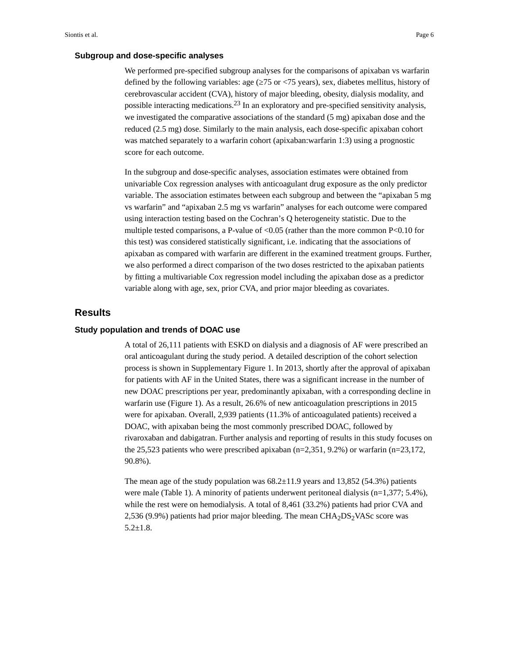## **Subgroup and dose-specific analyses**

We performed pre-specified subgroup analyses for the comparisons of apixaban vs warfarin defined by the following variables: age ( $75$  or  $\langle 75 \rangle$  years), sex, diabetes mellitus, history of cerebrovascular accident (CVA), history of major bleeding, obesity, dialysis modality, and possible interacting medications.23 In an exploratory and pre-specified sensitivity analysis, we investigated the comparative associations of the standard (5 mg) apixaban dose and the reduced (2.5 mg) dose. Similarly to the main analysis, each dose-specific apixaban cohort was matched separately to a warfarin cohort (apixaban:warfarin 1:3) using a prognostic score for each outcome.

In the subgroup and dose-specific analyses, association estimates were obtained from univariable Cox regression analyses with anticoagulant drug exposure as the only predictor variable. The association estimates between each subgroup and between the "apixaban 5 mg vs warfarin" and "apixaban 2.5 mg vs warfarin" analyses for each outcome were compared using interaction testing based on the Cochran's Q heterogeneity statistic. Due to the multiple tested comparisons, a P-value of  $< 0.05$  (rather than the more common P $< 0.10$  for this test) was considered statistically significant, i.e. indicating that the associations of apixaban as compared with warfarin are different in the examined treatment groups. Further, we also performed a direct comparison of the two doses restricted to the apixaban patients by fitting a multivariable Cox regression model including the apixaban dose as a predictor variable along with age, sex, prior CVA, and prior major bleeding as covariates.

## **Results**

#### **Study population and trends of DOAC use**

A total of 26,111 patients with ESKD on dialysis and a diagnosis of AF were prescribed an oral anticoagulant during the study period. A detailed description of the cohort selection process is shown in Supplementary Figure 1. In 2013, shortly after the approval of apixaban for patients with AF in the United States, there was a significant increase in the number of new DOAC prescriptions per year, predominantly apixaban, with a corresponding decline in warfarin use (Figure 1). As a result, 26.6% of new anticoagulation prescriptions in 2015 were for apixaban. Overall, 2,939 patients (11.3% of anticoagulated patients) received a DOAC, with apixaban being the most commonly prescribed DOAC, followed by rivaroxaban and dabigatran. Further analysis and reporting of results in this study focuses on the 25,523 patients who were prescribed apixaban ( $n=2,351, 9.2\%$ ) or warfarin ( $n=23,172$ , 90.8%).

The mean age of the study population was  $68.2 \pm 11.9$  years and 13,852 (54.3%) patients were male (Table 1). A minority of patients underwent peritoneal dialysis (n=1,377; 5.4%), while the rest were on hemodialysis. A total of 8,461 (33.2%) patients had prior CVA and 2,536 (9.9%) patients had prior major bleeding. The mean  $CHA<sub>2</sub>DS<sub>2</sub>VASc$  score was 5.2±1.8.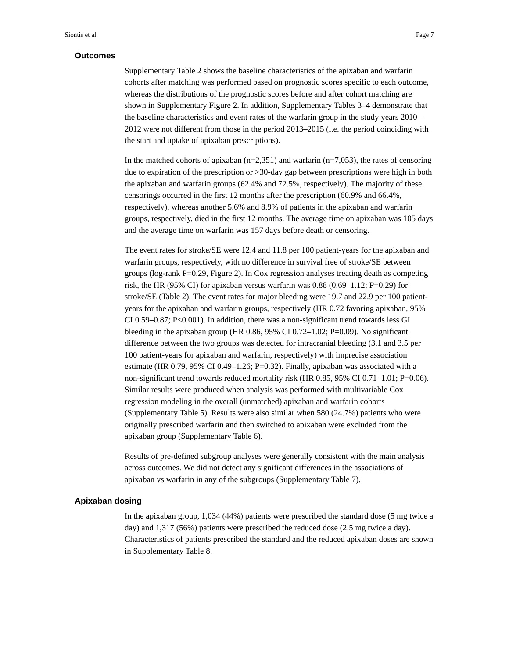## **Outcomes**

Supplementary Table 2 shows the baseline characteristics of the apixaban and warfarin cohorts after matching was performed based on prognostic scores specific to each outcome, whereas the distributions of the prognostic scores before and after cohort matching are shown in Supplementary Figure 2. In addition, Supplementary Tables 3–4 demonstrate that the baseline characteristics and event rates of the warfarin group in the study years 2010– 2012 were not different from those in the period 2013–2015 (i.e. the period coinciding with the start and uptake of apixaban prescriptions).

In the matched cohorts of apixaban  $(n=2,351)$  and warfarin  $(n=7,053)$ , the rates of censoring due to expiration of the prescription or >30-day gap between prescriptions were high in both the apixaban and warfarin groups (62.4% and 72.5%, respectively). The majority of these censorings occurred in the first 12 months after the prescription (60.9% and 66.4%, respectively), whereas another 5.6% and 8.9% of patients in the apixaban and warfarin groups, respectively, died in the first 12 months. The average time on apixaban was 105 days and the average time on warfarin was 157 days before death or censoring.

The event rates for stroke/SE were 12.4 and 11.8 per 100 patient-years for the apixaban and warfarin groups, respectively, with no difference in survival free of stroke/SE between groups (log-rank P=0.29, Figure 2). In Cox regression analyses treating death as competing risk, the HR (95% CI) for apixaban versus warfarin was 0.88 (0.69–1.12; P=0.29) for stroke/SE (Table 2). The event rates for major bleeding were 19.7 and 22.9 per 100 patientyears for the apixaban and warfarin groups, respectively (HR 0.72 favoring apixaban, 95% CI 0.59–0.87; P<0.001). In addition, there was a non-significant trend towards less GI bleeding in the apixaban group (HR 0.86, 95% CI 0.72–1.02; P=0.09). No significant difference between the two groups was detected for intracranial bleeding (3.1 and 3.5 per 100 patient-years for apixaban and warfarin, respectively) with imprecise association estimate (HR 0.79, 95% CI 0.49–1.26; P=0.32). Finally, apixaban was associated with a non-significant trend towards reduced mortality risk (HR 0.85, 95% CI 0.71–1.01; P=0.06). Similar results were produced when analysis was performed with multivariable Cox regression modeling in the overall (unmatched) apixaban and warfarin cohorts (Supplementary Table 5). Results were also similar when 580 (24.7%) patients who were originally prescribed warfarin and then switched to apixaban were excluded from the apixaban group (Supplementary Table 6).

Results of pre-defined subgroup analyses were generally consistent with the main analysis across outcomes. We did not detect any significant differences in the associations of apixaban vs warfarin in any of the subgroups (Supplementary Table 7).

#### **Apixaban dosing**

In the apixaban group, 1,034 (44%) patients were prescribed the standard dose (5 mg twice a day) and 1,317 (56%) patients were prescribed the reduced dose (2.5 mg twice a day). Characteristics of patients prescribed the standard and the reduced apixaban doses are shown in Supplementary Table 8.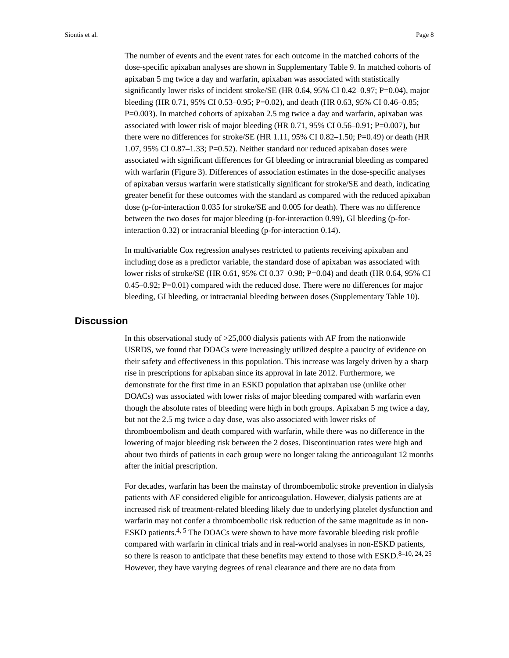Siontis et al. Page 8

The number of events and the event rates for each outcome in the matched cohorts of the dose-specific apixaban analyses are shown in Supplementary Table 9. In matched cohorts of apixaban 5 mg twice a day and warfarin, apixaban was associated with statistically significantly lower risks of incident stroke/SE (HR 0.64, 95% CI 0.42–0.97; P=0.04), major bleeding (HR 0.71, 95% CI 0.53–0.95; P=0.02), and death (HR 0.63, 95% CI 0.46–0.85; P=0.003). In matched cohorts of apixaban 2.5 mg twice a day and warfarin, apixaban was associated with lower risk of major bleeding (HR 0.71, 95% CI 0.56–0.91; P=0.007), but there were no differences for stroke/SE (HR 1.11, 95% CI 0.82–1.50; P=0.49) or death (HR 1.07, 95% CI 0.87–1.33; P=0.52). Neither standard nor reduced apixaban doses were associated with significant differences for GI bleeding or intracranial bleeding as compared with warfarin (Figure 3). Differences of association estimates in the dose-specific analyses of apixaban versus warfarin were statistically significant for stroke/SE and death, indicating greater benefit for these outcomes with the standard as compared with the reduced apixaban dose (p-for-interaction 0.035 for stroke/SE and 0.005 for death). There was no difference between the two doses for major bleeding (p-for-interaction 0.99), GI bleeding (p-forinteraction 0.32) or intracranial bleeding (p-for-interaction 0.14).

In multivariable Cox regression analyses restricted to patients receiving apixaban and including dose as a predictor variable, the standard dose of apixaban was associated with lower risks of stroke/SE (HR 0.61, 95% CI 0.37–0.98; P=0.04) and death (HR 0.64, 95% CI  $0.45-0.92$ ; P=0.01) compared with the reduced dose. There were no differences for major bleeding, GI bleeding, or intracranial bleeding between doses (Supplementary Table 10).

# **Discussion**

In this observational study of  $>25,000$  dialysis patients with AF from the nationwide USRDS, we found that DOACs were increasingly utilized despite a paucity of evidence on their safety and effectiveness in this population. This increase was largely driven by a sharp rise in prescriptions for apixaban since its approval in late 2012. Furthermore, we demonstrate for the first time in an ESKD population that apixaban use (unlike other DOACs) was associated with lower risks of major bleeding compared with warfarin even though the absolute rates of bleeding were high in both groups. Apixaban 5 mg twice a day, but not the 2.5 mg twice a day dose, was also associated with lower risks of thromboembolism and death compared with warfarin, while there was no difference in the lowering of major bleeding risk between the 2 doses. Discontinuation rates were high and about two thirds of patients in each group were no longer taking the anticoagulant 12 months after the initial prescription.

For decades, warfarin has been the mainstay of thromboembolic stroke prevention in dialysis patients with AF considered eligible for anticoagulation. However, dialysis patients are at increased risk of treatment-related bleeding likely due to underlying platelet dysfunction and warfarin may not confer a thromboembolic risk reduction of the same magnitude as in non-ESKD patients.<sup>4, 5</sup> The DOACs were shown to have more favorable bleeding risk profile compared with warfarin in clinical trials and in real-world analyses in non-ESKD patients, so there is reason to anticipate that these benefits may extend to those with  $ESKD$ .<sup>8-10, 24, 25</sup> However, they have varying degrees of renal clearance and there are no data from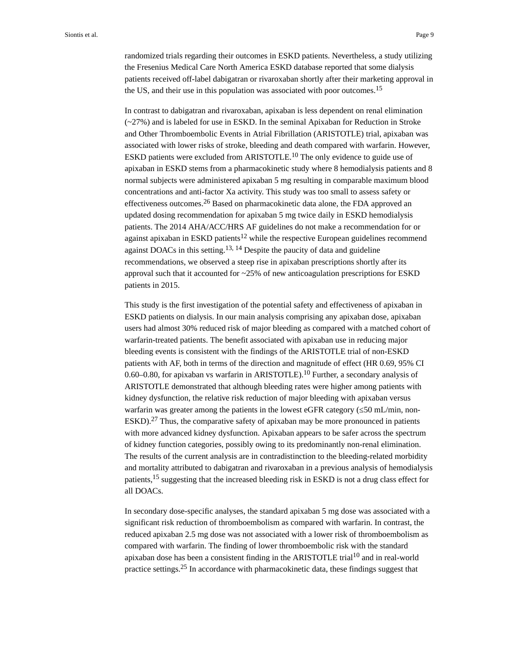randomized trials regarding their outcomes in ESKD patients. Nevertheless, a study utilizing the Fresenius Medical Care North America ESKD database reported that some dialysis patients received off-label dabigatran or rivaroxaban shortly after their marketing approval in the US, and their use in this population was associated with poor outcomes.<sup>15</sup>

In contrast to dabigatran and rivaroxaban, apixaban is less dependent on renal elimination (~27%) and is labeled for use in ESKD. In the seminal Apixaban for Reduction in Stroke and Other Thromboembolic Events in Atrial Fibrillation (ARISTOTLE) trial, apixaban was associated with lower risks of stroke, bleeding and death compared with warfarin. However, ESKD patients were excluded from ARISTOTLE.<sup>10</sup> The only evidence to guide use of apixaban in ESKD stems from a pharmacokinetic study where 8 hemodialysis patients and 8 normal subjects were administered apixaban 5 mg resulting in comparable maximum blood concentrations and anti-factor Xa activity. This study was too small to assess safety or effectiveness outcomes.26 Based on pharmacokinetic data alone, the FDA approved an updated dosing recommendation for apixaban 5 mg twice daily in ESKD hemodialysis patients. The 2014 AHA/ACC/HRS AF guidelines do not make a recommendation for or against apixaban in ESKD patients<sup>12</sup> while the respective European guidelines recommend against DOACs in this setting.<sup>13, 14</sup> Despite the paucity of data and guideline recommendations, we observed a steep rise in apixaban prescriptions shortly after its approval such that it accounted for ~25% of new anticoagulation prescriptions for ESKD patients in 2015.

This study is the first investigation of the potential safety and effectiveness of apixaban in ESKD patients on dialysis. In our main analysis comprising any apixaban dose, apixaban users had almost 30% reduced risk of major bleeding as compared with a matched cohort of warfarin-treated patients. The benefit associated with apixaban use in reducing major bleeding events is consistent with the findings of the ARISTOTLE trial of non-ESKD patients with AF, both in terms of the direction and magnitude of effect (HR 0.69, 95% CI 0.60–0.80, for apixaban vs warfarin in ARISTOTLE).<sup>10</sup> Further, a secondary analysis of ARISTOTLE demonstrated that although bleeding rates were higher among patients with kidney dysfunction, the relative risk reduction of major bleeding with apixaban versus warfarin was greater among the patients in the lowest eGFR category  $(50 \text{ mL/min}, \text{non--}$ ESKD).<sup>27</sup> Thus, the comparative safety of apixaban may be more pronounced in patients with more advanced kidney dysfunction. Apixaban appears to be safer across the spectrum of kidney function categories, possibly owing to its predominantly non-renal elimination. The results of the current analysis are in contradistinction to the bleeding-related morbidity and mortality attributed to dabigatran and rivaroxaban in a previous analysis of hemodialysis patients,15 suggesting that the increased bleeding risk in ESKD is not a drug class effect for all DOACs.

In secondary dose-specific analyses, the standard apixaban 5 mg dose was associated with a significant risk reduction of thromboembolism as compared with warfarin. In contrast, the reduced apixaban 2.5 mg dose was not associated with a lower risk of thromboembolism as compared with warfarin. The finding of lower thromboembolic risk with the standard apixaban dose has been a consistent finding in the ARISTOTLE trial<sup>10</sup> and in real-world practice settings.25 In accordance with pharmacokinetic data, these findings suggest that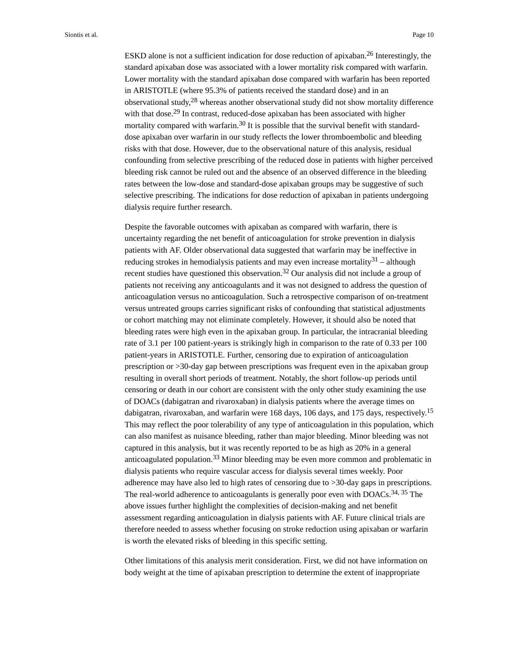ESKD alone is not a sufficient indication for dose reduction of apixaban.26 Interestingly, the standard apixaban dose was associated with a lower mortality risk compared with warfarin. Lower mortality with the standard apixaban dose compared with warfarin has been reported in ARISTOTLE (where 95.3% of patients received the standard dose) and in an observational study,  $28$  whereas another observational study did not show mortality difference with that dose.<sup>29</sup> In contrast, reduced-dose apixaban has been associated with higher mortality compared with warfarin.<sup>30</sup> It is possible that the survival benefit with standarddose apixaban over warfarin in our study reflects the lower thromboembolic and bleeding risks with that dose. However, due to the observational nature of this analysis, residual confounding from selective prescribing of the reduced dose in patients with higher perceived bleeding risk cannot be ruled out and the absence of an observed difference in the bleeding rates between the low-dose and standard-dose apixaban groups may be suggestive of such selective prescribing. The indications for dose reduction of apixaban in patients undergoing dialysis require further research.

Despite the favorable outcomes with apixaban as compared with warfarin, there is uncertainty regarding the net benefit of anticoagulation for stroke prevention in dialysis patients with AF. Older observational data suggested that warfarin may be ineffective in reducing strokes in hemodialysis patients and may even increase mortality<sup>31</sup> – although recent studies have questioned this observation.<sup>32</sup> Our analysis did not include a group of patients not receiving any anticoagulants and it was not designed to address the question of anticoagulation versus no anticoagulation. Such a retrospective comparison of on-treatment versus untreated groups carries significant risks of confounding that statistical adjustments or cohort matching may not eliminate completely. However, it should also be noted that bleeding rates were high even in the apixaban group. In particular, the intracranial bleeding rate of 3.1 per 100 patient-years is strikingly high in comparison to the rate of 0.33 per 100 patient-years in ARISTOTLE. Further, censoring due to expiration of anticoagulation prescription or >30-day gap between prescriptions was frequent even in the apixaban group resulting in overall short periods of treatment. Notably, the short follow-up periods until censoring or death in our cohort are consistent with the only other study examining the use of DOACs (dabigatran and rivaroxaban) in dialysis patients where the average times on dabigatran, rivaroxaban, and warfarin were 168 days, 106 days, and 175 days, respectively.<sup>15</sup> This may reflect the poor tolerability of any type of anticoagulation in this population, which can also manifest as nuisance bleeding, rather than major bleeding. Minor bleeding was not captured in this analysis, but it was recently reported to be as high as 20% in a general anticoagulated population.<sup>33</sup> Minor bleeding may be even more common and problematic in dialysis patients who require vascular access for dialysis several times weekly. Poor adherence may have also led to high rates of censoring due to >30-day gaps in prescriptions. The real-world adherence to anticoagulants is generally poor even with DOACs.<sup>34, 35</sup> The above issues further highlight the complexities of decision-making and net benefit assessment regarding anticoagulation in dialysis patients with AF. Future clinical trials are therefore needed to assess whether focusing on stroke reduction using apixaban or warfarin is worth the elevated risks of bleeding in this specific setting.

Other limitations of this analysis merit consideration. First, we did not have information on body weight at the time of apixaban prescription to determine the extent of inappropriate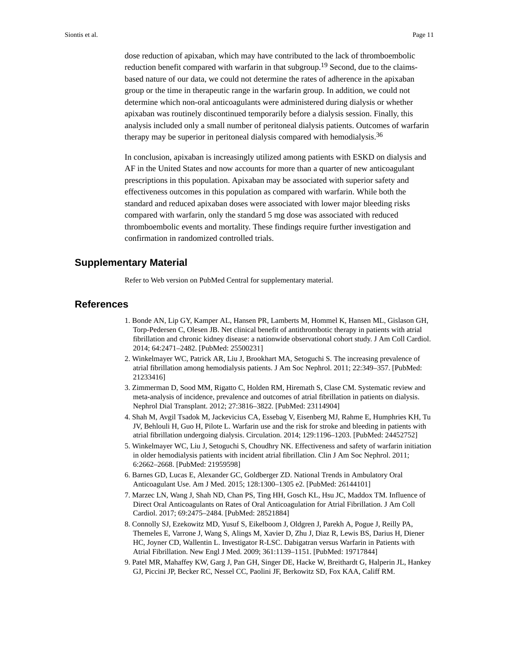dose reduction of apixaban, which may have contributed to the lack of thromboembolic reduction benefit compared with warfarin in that subgroup.<sup>19</sup> Second, due to the claimsbased nature of our data, we could not determine the rates of adherence in the apixaban group or the time in therapeutic range in the warfarin group. In addition, we could not determine which non-oral anticoagulants were administered during dialysis or whether apixaban was routinely discontinued temporarily before a dialysis session. Finally, this analysis included only a small number of peritoneal dialysis patients. Outcomes of warfarin therapy may be superior in peritoneal dialysis compared with hemodialysis.<sup>36</sup>

In conclusion, apixaban is increasingly utilized among patients with ESKD on dialysis and AF in the United States and now accounts for more than a quarter of new anticoagulant prescriptions in this population. Apixaban may be associated with superior safety and effectiveness outcomes in this population as compared with warfarin. While both the standard and reduced apixaban doses were associated with lower major bleeding risks compared with warfarin, only the standard 5 mg dose was associated with reduced thromboembolic events and mortality. These findings require further investigation and confirmation in randomized controlled trials.

## **Supplementary Material**

Refer to Web version on PubMed Central for supplementary material.

## **References**

- 1. Bonde AN, Lip GY, Kamper AL, Hansen PR, Lamberts M, Hommel K, Hansen ML, Gislason GH, Torp-Pedersen C, Olesen JB. Net clinical benefit of antithrombotic therapy in patients with atrial fibrillation and chronic kidney disease: a nationwide observational cohort study. J Am Coll Cardiol. 2014; 64:2471–2482. [PubMed: 25500231]
- 2. Winkelmayer WC, Patrick AR, Liu J, Brookhart MA, Setoguchi S. The increasing prevalence of atrial fibrillation among hemodialysis patients. J Am Soc Nephrol. 2011; 22:349–357. [PubMed: 21233416]
- 3. Zimmerman D, Sood MM, Rigatto C, Holden RM, Hiremath S, Clase CM. Systematic review and meta-analysis of incidence, prevalence and outcomes of atrial fibrillation in patients on dialysis. Nephrol Dial Transplant. 2012; 27:3816–3822. [PubMed: 23114904]
- 4. Shah M, Avgil Tsadok M, Jackevicius CA, Essebag V, Eisenberg MJ, Rahme E, Humphries KH, Tu JV, Behlouli H, Guo H, Pilote L. Warfarin use and the risk for stroke and bleeding in patients with atrial fibrillation undergoing dialysis. Circulation. 2014; 129:1196–1203. [PubMed: 24452752]
- 5. Winkelmayer WC, Liu J, Setoguchi S, Choudhry NK. Effectiveness and safety of warfarin initiation in older hemodialysis patients with incident atrial fibrillation. Clin J Am Soc Nephrol. 2011; 6:2662–2668. [PubMed: 21959598]
- 6. Barnes GD, Lucas E, Alexander GC, Goldberger ZD. National Trends in Ambulatory Oral Anticoagulant Use. Am J Med. 2015; 128:1300–1305 e2. [PubMed: 26144101]
- 7. Marzec LN, Wang J, Shah ND, Chan PS, Ting HH, Gosch KL, Hsu JC, Maddox TM. Influence of Direct Oral Anticoagulants on Rates of Oral Anticoagulation for Atrial Fibrillation. J Am Coll Cardiol. 2017; 69:2475–2484. [PubMed: 28521884]
- 8. Connolly SJ, Ezekowitz MD, Yusuf S, Eikelboom J, Oldgren J, Parekh A, Pogue J, Reilly PA, Themeles E, Varrone J, Wang S, Alings M, Xavier D, Zhu J, Diaz R, Lewis BS, Darius H, Diener HC, Joyner CD, Wallentin L. Investigator R-LSC. Dabigatran versus Warfarin in Patients with Atrial Fibrillation. New Engl J Med. 2009; 361:1139–1151. [PubMed: 19717844]
- 9. Patel MR, Mahaffey KW, Garg J, Pan GH, Singer DE, Hacke W, Breithardt G, Halperin JL, Hankey GJ, Piccini JP, Becker RC, Nessel CC, Paolini JF, Berkowitz SD, Fox KAA, Califf RM.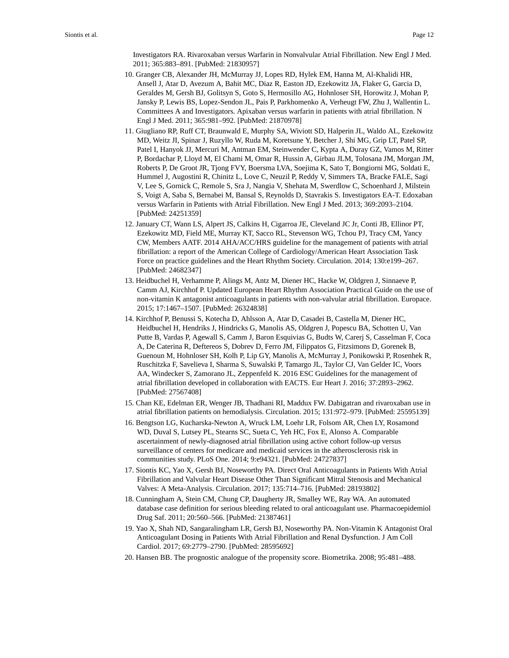Investigators RA. Rivaroxaban versus Warfarin in Nonvalvular Atrial Fibrillation. New Engl J Med. 2011; 365:883–891. [PubMed: 21830957]

- 10. Granger CB, Alexander JH, McMurray JJ, Lopes RD, Hylek EM, Hanna M, Al-Khalidi HR, Ansell J, Atar D, Avezum A, Bahit MC, Diaz R, Easton JD, Ezekowitz JA, Flaker G, Garcia D, Geraldes M, Gersh BJ, Golitsyn S, Goto S, Hermosillo AG, Hohnloser SH, Horowitz J, Mohan P, Jansky P, Lewis BS, Lopez-Sendon JL, Pais P, Parkhomenko A, Verheugt FW, Zhu J, Wallentin L. Committees A and Investigators. Apixaban versus warfarin in patients with atrial fibrillation. N Engl J Med. 2011; 365:981–992. [PubMed: 21870978]
- 11. Giugliano RP, Ruff CT, Braunwald E, Murphy SA, Wiviott SD, Halperin JL, Waldo AL, Ezekowitz MD, Weitz JI, Spinar J, Ruzyllo W, Ruda M, Koretsune Y, Betcher J, Shi MG, Grip LT, Patel SP, Patel I, Hanyok JJ, Mercuri M, Antman EM, Steinwender C, Kypta A, Duray GZ, Vamos M, Ritter P, Bordachar P, Lloyd M, El Chami M, Omar R, Hussin A, Girbau JLM, Tolosana JM, Morgan JM, Roberts P, De Groot JR, Tjong FVY, Boersma LVA, Soejima K, Sato T, Bongiorni MG, Soldati E, Hummel J, Augostini R, Chinitz L, Love C, Neuzil P, Reddy V, Simmers TA, Bracke FALE, Sagi V, Lee S, Gornick C, Remole S, Sra J, Nangia V, Shehata M, Swerdlow C, Schoenhard J, Milstein S, Voigt A, Saba S, Bernabei M, Bansal S, Reynolds D, Stavrakis S. Investigators EA-T. Edoxaban versus Warfarin in Patients with Atrial Fibrillation. New Engl J Med. 2013; 369:2093–2104. [PubMed: 24251359]
- 12. January CT, Wann LS, Alpert JS, Calkins H, Cigarroa JE, Cleveland JC Jr, Conti JB, Ellinor PT, Ezekowitz MD, Field ME, Murray KT, Sacco RL, Stevenson WG, Tchou PJ, Tracy CM, Yancy CW, Members AATF. 2014 AHA/ACC/HRS guideline for the management of patients with atrial fibrillation: a report of the American College of Cardiology/American Heart Association Task Force on practice guidelines and the Heart Rhythm Society. Circulation. 2014; 130:e199–267. [PubMed: 24682347]
- 13. Heidbuchel H, Verhamme P, Alings M, Antz M, Diener HC, Hacke W, Oldgren J, Sinnaeve P, Camm AJ, Kirchhof P. Updated European Heart Rhythm Association Practical Guide on the use of non-vitamin K antagonist anticoagulants in patients with non-valvular atrial fibrillation. Europace. 2015; 17:1467–1507. [PubMed: 26324838]
- 14. Kirchhof P, Benussi S, Kotecha D, Ahlsson A, Atar D, Casadei B, Castella M, Diener HC, Heidbuchel H, Hendriks J, Hindricks G, Manolis AS, Oldgren J, Popescu BA, Schotten U, Van Putte B, Vardas P, Agewall S, Camm J, Baron Esquivias G, Budts W, Carerj S, Casselman F, Coca A, De Caterina R, Deftereos S, Dobrev D, Ferro JM, Filippatos G, Fitzsimons D, Gorenek B, Guenoun M, Hohnloser SH, Kolh P, Lip GY, Manolis A, McMurray J, Ponikowski P, Rosenhek R, Ruschitzka F, Savelieva I, Sharma S, Suwalski P, Tamargo JL, Taylor CJ, Van Gelder IC, Voors AA, Windecker S, Zamorano JL, Zeppenfeld K. 2016 ESC Guidelines for the management of atrial fibrillation developed in collaboration with EACTS. Eur Heart J. 2016; 37:2893–2962. [PubMed: 27567408]
- 15. Chan KE, Edelman ER, Wenger JB, Thadhani RI, Maddux FW. Dabigatran and rivaroxaban use in atrial fibrillation patients on hemodialysis. Circulation. 2015; 131:972–979. [PubMed: 25595139]
- 16. Bengtson LG, Kucharska-Newton A, Wruck LM, Loehr LR, Folsom AR, Chen LY, Rosamond WD, Duval S, Lutsey PL, Stearns SC, Sueta C, Yeh HC, Fox E, Alonso A. Comparable ascertainment of newly-diagnosed atrial fibrillation using active cohort follow-up versus surveillance of centers for medicare and medicaid services in the atherosclerosis risk in communities study. PLoS One. 2014; 9:e94321. [PubMed: 24727837]
- 17. Siontis KC, Yao X, Gersh BJ, Noseworthy PA. Direct Oral Anticoagulants in Patients With Atrial Fibrillation and Valvular Heart Disease Other Than Significant Mitral Stenosis and Mechanical Valves: A Meta-Analysis. Circulation. 2017; 135:714–716. [PubMed: 28193802]
- 18. Cunningham A, Stein CM, Chung CP, Daugherty JR, Smalley WE, Ray WA. An automated database case definition for serious bleeding related to oral anticoagulant use. Pharmacoepidemiol Drug Saf. 2011; 20:560–566. [PubMed: 21387461]
- 19. Yao X, Shah ND, Sangaralingham LR, Gersh BJ, Noseworthy PA. Non-Vitamin K Antagonist Oral Anticoagulant Dosing in Patients With Atrial Fibrillation and Renal Dysfunction. J Am Coll Cardiol. 2017; 69:2779–2790. [PubMed: 28595692]
- 20. Hansen BB. The prognostic analogue of the propensity score. Biometrika. 2008; 95:481–488.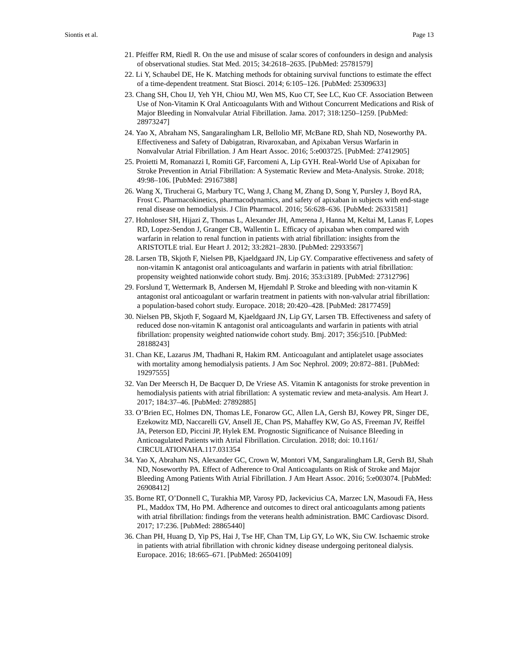- 21. Pfeiffer RM, Riedl R. On the use and misuse of scalar scores of confounders in design and analysis of observational studies. Stat Med. 2015; 34:2618–2635. [PubMed: 25781579]
- 22. Li Y, Schaubel DE, He K. Matching methods for obtaining survival functions to estimate the effect of a time-dependent treatment. Stat Biosci. 2014; 6:105–126. [PubMed: 25309633]
- 23. Chang SH, Chou IJ, Yeh YH, Chiou MJ, Wen MS, Kuo CT, See LC, Kuo CF. Association Between Use of Non-Vitamin K Oral Anticoagulants With and Without Concurrent Medications and Risk of Major Bleeding in Nonvalvular Atrial Fibrillation. Jama. 2017; 318:1250–1259. [PubMed: 28973247]
- 24. Yao X, Abraham NS, Sangaralingham LR, Bellolio MF, McBane RD, Shah ND, Noseworthy PA. Effectiveness and Safety of Dabigatran, Rivaroxaban, and Apixaban Versus Warfarin in Nonvalvular Atrial Fibrillation. J Am Heart Assoc. 2016; 5:e003725. [PubMed: 27412905]
- 25. Proietti M, Romanazzi I, Romiti GF, Farcomeni A, Lip GYH. Real-World Use of Apixaban for Stroke Prevention in Atrial Fibrillation: A Systematic Review and Meta-Analysis. Stroke. 2018; 49:98–106. [PubMed: 29167388]
- 26. Wang X, Tirucherai G, Marbury TC, Wang J, Chang M, Zhang D, Song Y, Pursley J, Boyd RA, Frost C. Pharmacokinetics, pharmacodynamics, and safety of apixaban in subjects with end-stage renal disease on hemodialysis. J Clin Pharmacol. 2016; 56:628–636. [PubMed: 26331581]
- 27. Hohnloser SH, Hijazi Z, Thomas L, Alexander JH, Amerena J, Hanna M, Keltai M, Lanas F, Lopes RD, Lopez-Sendon J, Granger CB, Wallentin L. Efficacy of apixaban when compared with warfarin in relation to renal function in patients with atrial fibrillation: insights from the ARISTOTLE trial. Eur Heart J. 2012; 33:2821–2830. [PubMed: 22933567]
- 28. Larsen TB, Skjoth F, Nielsen PB, Kjaeldgaard JN, Lip GY. Comparative effectiveness and safety of non-vitamin K antagonist oral anticoagulants and warfarin in patients with atrial fibrillation: propensity weighted nationwide cohort study. Bmj. 2016; 353:i3189. [PubMed: 27312796]
- 29. Forslund T, Wettermark B, Andersen M, Hjemdahl P. Stroke and bleeding with non-vitamin K antagonist oral anticoagulant or warfarin treatment in patients with non-valvular atrial fibrillation: a population-based cohort study. Europace. 2018; 20:420–428. [PubMed: 28177459]
- 30. Nielsen PB, Skjoth F, Sogaard M, Kjaeldgaard JN, Lip GY, Larsen TB. Effectiveness and safety of reduced dose non-vitamin K antagonist oral anticoagulants and warfarin in patients with atrial fibrillation: propensity weighted nationwide cohort study. Bmj. 2017; 356:j510. [PubMed: 28188243]
- 31. Chan KE, Lazarus JM, Thadhani R, Hakim RM. Anticoagulant and antiplatelet usage associates with mortality among hemodialysis patients. J Am Soc Nephrol. 2009; 20:872–881. [PubMed: 19297555]
- 32. Van Der Meersch H, De Bacquer D, De Vriese AS. Vitamin K antagonists for stroke prevention in hemodialysis patients with atrial fibrillation: A systematic review and meta-analysis. Am Heart J. 2017; 184:37–46. [PubMed: 27892885]
- 33. O'Brien EC, Holmes DN, Thomas LE, Fonarow GC, Allen LA, Gersh BJ, Kowey PR, Singer DE, Ezekowitz MD, Naccarelli GV, Ansell JE, Chan PS, Mahaffey KW, Go AS, Freeman JV, Reiffel JA, Peterson ED, Piccini JP, Hylek EM. Prognostic Significance of Nuisance Bleeding in Anticoagulated Patients with Atrial Fibrillation. Circulation. 2018; doi: 10.1161/ CIRCULATIONAHA.117.031354
- 34. Yao X, Abraham NS, Alexander GC, Crown W, Montori VM, Sangaralingham LR, Gersh BJ, Shah ND, Noseworthy PA. Effect of Adherence to Oral Anticoagulants on Risk of Stroke and Major Bleeding Among Patients With Atrial Fibrillation. J Am Heart Assoc. 2016; 5:e003074. [PubMed: 26908412]
- 35. Borne RT, O'Donnell C, Turakhia MP, Varosy PD, Jackevicius CA, Marzec LN, Masoudi FA, Hess PL, Maddox TM, Ho PM. Adherence and outcomes to direct oral anticoagulants among patients with atrial fibrillation: findings from the veterans health administration. BMC Cardiovasc Disord. 2017; 17:236. [PubMed: 28865440]
- 36. Chan PH, Huang D, Yip PS, Hai J, Tse HF, Chan TM, Lip GY, Lo WK, Siu CW. Ischaemic stroke in patients with atrial fibrillation with chronic kidney disease undergoing peritoneal dialysis. Europace. 2016; 18:665–671. [PubMed: 26504109]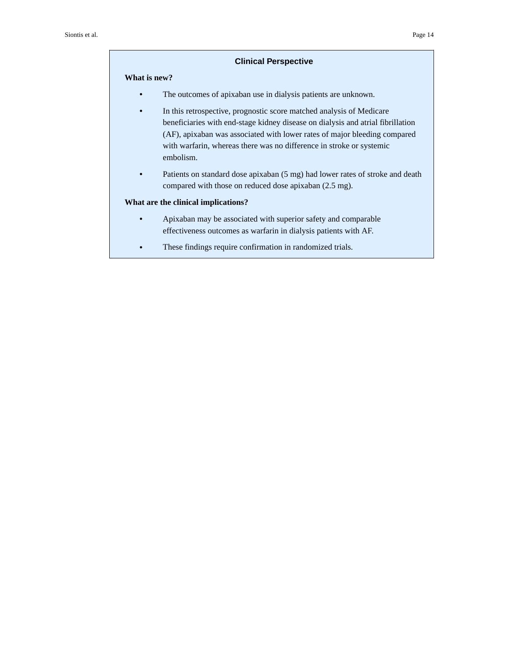#### **Clinical Perspective**

## **What is new?**

- **•** The outcomes of apixaban use in dialysis patients are unknown.
- **•** In this retrospective, prognostic score matched analysis of Medicare beneficiaries with end-stage kidney disease on dialysis and atrial fibrillation (AF), apixaban was associated with lower rates of major bleeding compared with warfarin, whereas there was no difference in stroke or systemic embolism.
- **•** Patients on standard dose apixaban (5 mg) had lower rates of stroke and death compared with those on reduced dose apixaban (2.5 mg).

#### **What are the clinical implications?**

- **•** Apixaban may be associated with superior safety and comparable effectiveness outcomes as warfarin in dialysis patients with AF.
- **•** These findings require confirmation in randomized trials.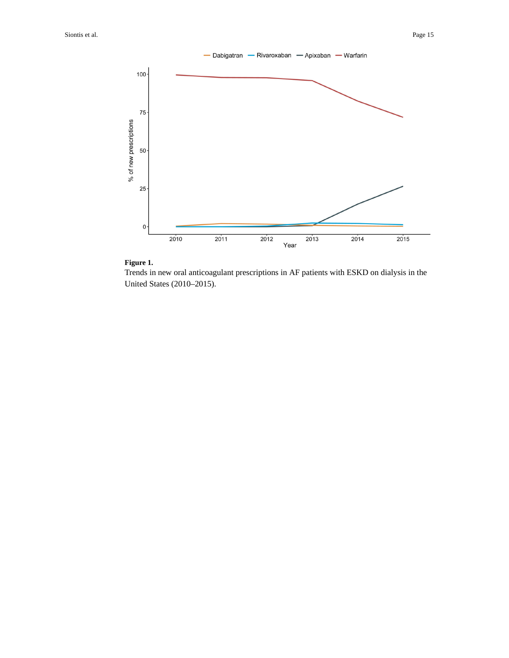

## **Figure 1.**

Trends in new oral anticoagulant prescriptions in AF patients with ESKD on dialysis in the United States (2010–2015).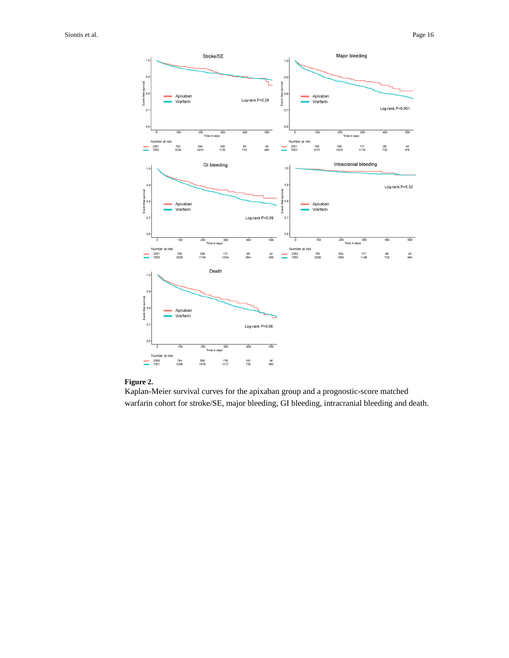

#### **Figure 2.**

Kaplan-Meier survival curves for the apixaban group and a prognostic-score matched warfarin cohort for stroke/SE, major bleeding, GI bleeding, intracranial bleeding and death.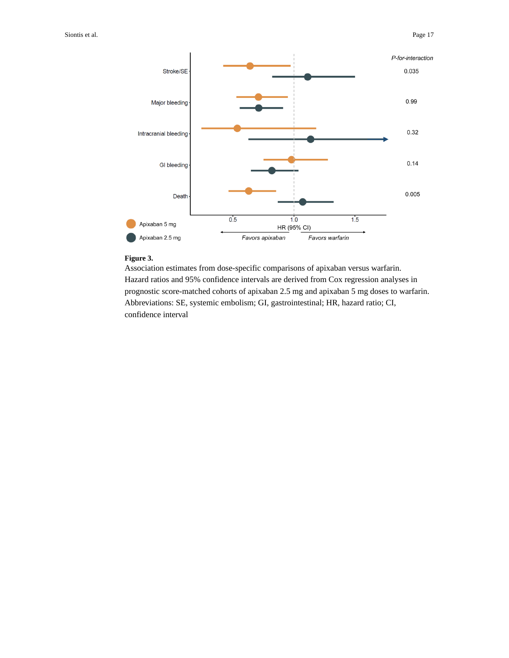

#### **Figure 3.**

Association estimates from dose-specific comparisons of apixaban versus warfarin. Hazard ratios and 95% confidence intervals are derived from Cox regression analyses in prognostic score-matched cohorts of apixaban 2.5 mg and apixaban 5 mg doses to warfarin. Abbreviations: SE, systemic embolism; GI, gastrointestinal; HR, hazard ratio; CI, confidence interval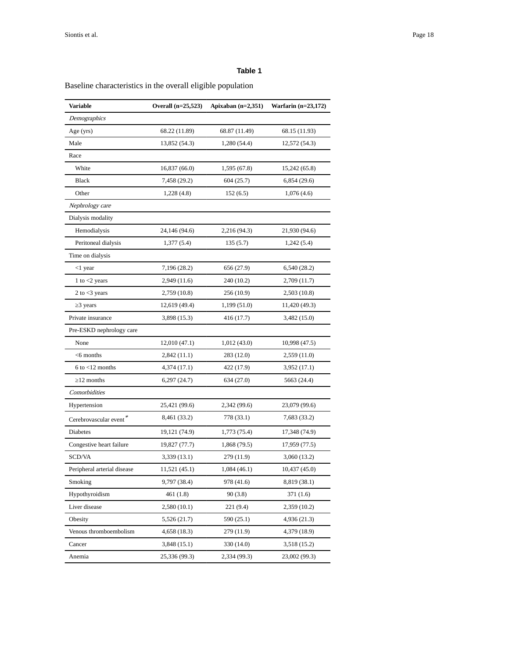## **Table 1**

Baseline characteristics in the overall eligible population

| Variable                    | Overall (n=25,523) | Apixaban $(n=2,351)$ | Warfarin $(n=23,172)$ |
|-----------------------------|--------------------|----------------------|-----------------------|
| Demographics                |                    |                      |                       |
| Age (yrs)                   | 68.22 (11.89)      | 68.87 (11.49)        | 68.15 (11.93)         |
| Male                        | 13,852 (54.3)      | 1,280 (54.4)         | 12,572 (54.3)         |
| Race                        |                    |                      |                       |
| White                       | 16,837(66.0)       | 1,595 (67.8)         | 15,242 (65.8)         |
| <b>Black</b>                | 7,458 (29.2)       | 604 (25.7)           | 6,854(29.6)           |
| Other                       | 1,228(4.8)         | 152(6.5)             | 1,076(4.6)            |
| Nephrology care             |                    |                      |                       |
| Dialysis modality           |                    |                      |                       |
| Hemodialysis                | 24,146 (94.6)      | 2,216 (94.3)         | 21,930 (94.6)         |
| Peritoneal dialysis         | 1,377(5.4)         | 135(5.7)             | 1,242(5.4)            |
| Time on dialysis            |                    |                      |                       |
| <1 year                     | 7,196 (28.2)       | 656 (27.9)           | 6,540 (28.2)          |
| 1 to $<$ 2 years            | 2,949 (11.6)       | 240 (10.2)           | 2,709 (11.7)          |
| 2 to $<$ 3 years            | 2,759 (10.8)       | 256 (10.9)           | 2,503 (10.8)          |
| 3 years                     | 12,619 (49.4)      | 1,199 (51.0)         | 11,420 (49.3)         |
| Private insurance           | 3,898 (15.3)       | 416 (17.7)           | 3,482 (15.0)          |
| Pre-ESKD nephrology care    |                    |                      |                       |
| None                        | 12,010 (47.1)      | 1,012 (43.0)         | 10,998 (47.5)         |
| $<$ 6 months                | 2,842 (11.1)       | 283 (12.0)           | 2,559 (11.0)          |
| $6$ to $<$ 12 months        | 4,374 (17.1)       | 422 (17.9)           | 3,952 (17.1)          |
| 12 months                   | 6,297(24.7)        | 634 (27.0)           | 5663 (24.4)           |
| Comorbidities               |                    |                      |                       |
| Hypertension                | 25,421 (99.6)      | 2,342 (99.6)         | 23,079 (99.6)         |
| Cerebrovascular event*      | 8,461 (33.2)       | 778 (33.1)           | 7,683 (33.2)          |
| Diabetes                    | 19,121 (74.9)      | 1,773 (75.4)         | 17,348 (74.9)         |
| Congestive heart failure    | 19,827 (77.7)      | 1,868 (79.5)         | 17,959 (77.5)         |
| SCD/VA                      | 3,339 (13.1)       | 279 (11.9)           | 3,060 (13.2)          |
| Peripheral arterial disease | 11,521 (45.1)      | 1,084 (46.1)         | 10,437 (45.0)         |
| Smoking                     | 9,797 (38.4)       | 978 (41.6)           | 8,819 (38.1)          |
| Hypothyroidism              | 461(1.8)           | 90(3.8)              | 371 (1.6)             |
| Liver disease               | 2,580 (10.1)       | 221 (9.4)            | 2,359 (10.2)          |
| Obesity                     | 5,526(21.7)        | 590 (25.1)           | 4,936 (21.3)          |
| Venous thromboembolism      | 4,658(18.3)        | 279 (11.9)           | 4,379 (18.9)          |
| Cancer                      | 3,848 (15.1)       | 330 (14.0)           | 3,518 (15.2)          |
| Anemia                      | 25,336 (99.3)      | 2,334 (99.3)         | 23,002 (99.3)         |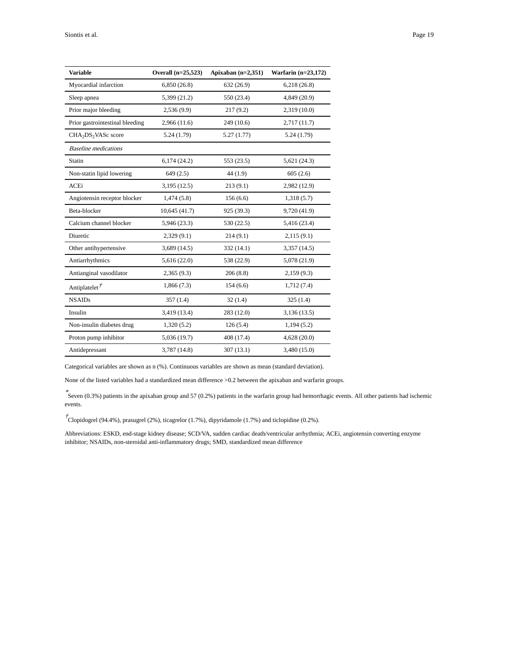| <b>Variable</b>                             | Overall (n=25,523) | Apixaban $(n=2,351)$ | Warfarin $(n=23,172)$ |
|---------------------------------------------|--------------------|----------------------|-----------------------|
| Myocardial infarction                       | 6,850(26.8)        | 632 (26.9)           | 6,218(26.8)           |
| Sleep apnea                                 | 5,399(21.2)        | 550 (23.4)           | 4,849 (20.9)          |
| Prior major bleeding                        | 2,536(9.9)         | 217(9.2)             | 2,319 (10.0)          |
| Prior gastrointestinal bleeding             | 2,966(11.6)        | 249(10.6)            | 2,717 (11.7)          |
| CHA <sub>2</sub> DS <sub>2</sub> VASc score | 5.24(1.79)         | 5.27(1.77)           | 5.24(1.79)            |
| <b>Baseline</b> medications                 |                    |                      |                       |
| <b>Statin</b>                               | 6,174(24.2)        | 553 (23.5)           | 5,621(24.3)           |
| Non-statin lipid lowering                   | 649(2.5)           | 44(1.9)              | 605(2.6)              |
| ACEi                                        | 3,195(12.5)        | 213(9.1)             | 2,982 (12.9)          |
| Angiotensin receptor blocker                | 1,474(5.8)         | 156(6.6)             | 1,318(5.7)            |
| Beta-blocker                                | 10,645 (41.7)      | 925 (39.3)           | 9,720 (41.9)          |
| Calcium channel blocker                     | 5,946 (23.3)       | 530 (22.5)           | 5,416 (23.4)          |
| Diuretic                                    | 2,329(9.1)         | 214(9.1)             | 2,115(9.1)            |
| Other antihypertensive                      | 3,689(14.5)        | 332(14.1)            | 3,357(14.5)           |
| Antiarrhythmics                             | 5,616(22.0)        | 538 (22.9)           | 5,078 (21.9)          |
| Antianginal vasodilator                     | 2,365(9.3)         | 206(8.8)             | 2,159(9.3)            |
| Antiplatelet <sup>†</sup>                   | 1,866(7.3)         | 154(6.6)             | 1,712(7.4)            |
| <b>NSAIDs</b>                               | 357(1.4)           | 32(1.4)              | 325(1.4)              |
| Insulin                                     | 3,419 (13.4)       | 283 (12.0)           | 3,136(13.5)           |
| Non-insulin diabetes drug                   | 1,320(5.2)         | 126(5.4)             | 1,194(5.2)            |
| Proton pump inhibitor                       | 5,036 (19.7)       | 408 (17.4)           | 4,628(20.0)           |
| Antidepressant                              | 3,787 (14.8)       | 307(13.1)            | 3,480 (15.0)          |

Categorical variables are shown as n (%). Continuous variables are shown as mean (standard deviation).

None of the listed variables had a standardized mean difference >0.2 between the apixaban and warfarin groups.

\* Seven (0.3%) patients in the apixaban group and 57 (0.2%) patients in the warfarin group had hemorrhagic events. All other patients had ischemic events.

 $\vec{\tau}$ Clopidogrel (94.4%), prasugrel (2%), ticagrelor (1.7%), dipyridamole (1.7%) and ticlopidine (0.2%).

Abbreviations: ESKD, end-stage kidney disease; SCD/VA, sudden cardiac death/ventricular arrhythmia; ACEi, angiotensin converting enzyme inhibitor; NSAIDs, non-steroidal anti-inflammatory drugs; SMD, standardized mean difference